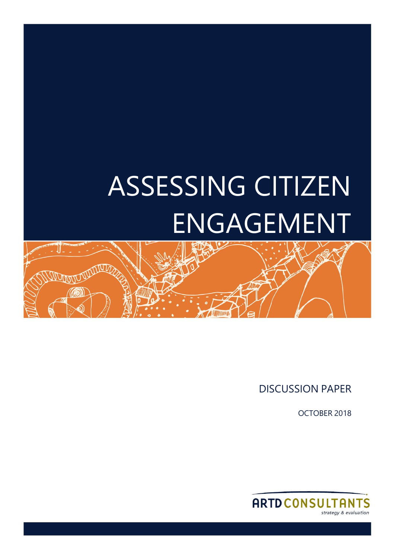# ASSESSING CITIZEN ENGAGEMENT



DISCUSSION PAPER

OCTOBER 2018

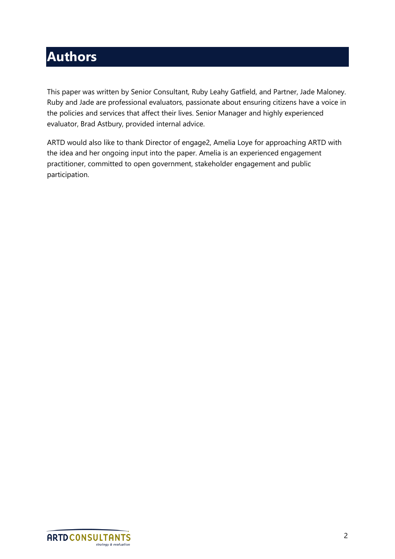# **Authors**

This paper was written by Senior Consultant, Ruby Leahy Gatfield, and Partner, Jade Maloney. Ruby and Jade are professional evaluators, passionate about ensuring citizens have a voice in the policies and services that affect their lives. Senior Manager and highly experienced evaluator, Brad Astbury, provided internal advice.

ARTD would also like to thank Director of engage2, Amelia Loye for approaching ARTD with the idea and her ongoing input into the paper. Amelia is an experienced engagement practitioner, committed to open government, stakeholder engagement and public participation.

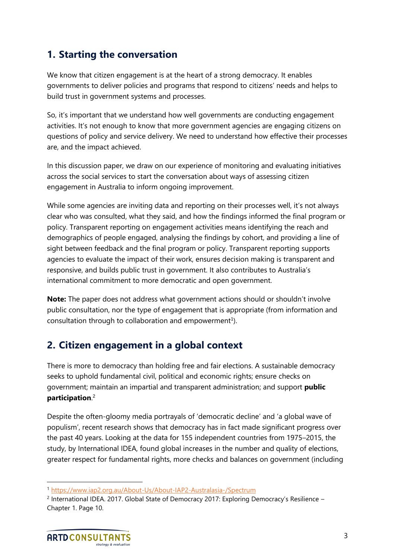# **1. Starting the conversation**

We know that citizen engagement is at the heart of a strong democracy. It enables governments to deliver policies and programs that respond to citizens' needs and helps to build trust in government systems and processes.

So, it's important that we understand how well governments are conducting engagement activities. It's not enough to know that more government agencies are engaging citizens on questions of policy and service delivery. We need to understand how effective their processes are, and the impact achieved.

In this discussion paper, we draw on our experience of monitoring and evaluating initiatives across the social services to start the conversation about ways of assessing citizen engagement in Australia to inform ongoing improvement.

While some agencies are inviting data and reporting on their processes well, it's not always clear who was consulted, what they said, and how the findings informed the final program or policy. Transparent reporting on engagement activities means identifying the reach and demographics of people engaged, analysing the findings by cohort, and providing a line of sight between feedback and the final program or policy. Transparent reporting supports agencies to evaluate the impact of their work, ensures decision making is transparent and responsive, and builds public trust in government. It also contributes to Australia's international commitment to more democratic and open government.

**Note:** The paper does not address what government actions should or shouldn't involve public consultation, nor the type of engagement that is appropriate (from information and consultation through to collaboration and empowerment<sup>1</sup>).

# **2. Citizen engagement in a global context**

There is more to democracy than holding free and fair elections. A sustainable democracy seeks to uphold fundamental civil, political and economic rights; ensure checks on government; maintain an impartial and transparent administration; and support **public participation**. 2

Despite the often-gloomy media portrayals of 'democratic decline' and 'a global wave of populism', recent research shows that democracy has in fact made significant progress over the past 40 years. Looking at the data for 155 independent countries from 1975–2015, the study, by International IDEA, found global increases in the number and quality of elections, greater respect for fundamental rights, more checks and balances on government (including

<sup>1</sup> <https://www.iap2.org.au/About-Us/About-IAP2-Australasia-/Spectrum>

<sup>&</sup>lt;sup>2</sup> International IDEA. 2017. Global State of Democracy 2017: Exploring Democracy's Resilience -Chapter 1. Page 10.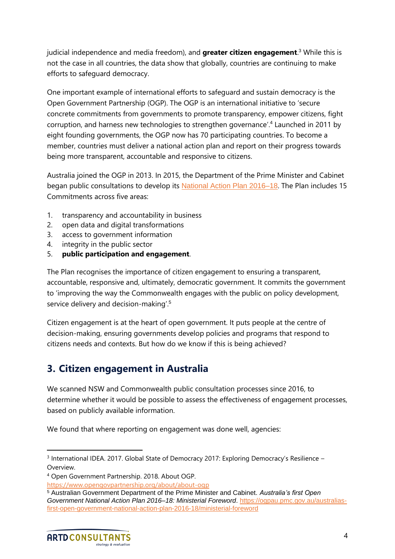judicial independence and media freedom), and **greater citizen engagement**. <sup>3</sup> While this is not the case in all countries, the data show that globally, countries are continuing to make efforts to safeguard democracy.

One important example of international efforts to safeguard and sustain democracy is the Open Government Partnership (OGP). The OGP is an international initiative to 'secure concrete commitments from governments to promote transparency, empower citizens, fight corruption, and harness new technologies to strengthen governance'.<sup>4</sup> Launched in 2011 by eight founding governments, the OGP now has 70 participating countries. To become a member, countries must deliver a national action plan and report on their progress towards being more transparent, accountable and responsive to citizens.

Australia joined the OGP in 2013. In 2015, the Department of the Prime Minister and Cabinet began public consultations to develop its [National Action Plan 2016–18](https://ogpau.pmc.gov.au/australias-first-open-government-national-action-plan-2016-18). The Plan includes 15 Commitments across five areas:

- 1. transparency and accountability in business
- 2. open data and digital transformations
- 3. access to government information
- 4. integrity in the public sector
- 5. **public participation and engagement**.

The Plan recognises the importance of citizen engagement to ensuring a transparent, accountable, responsive and, ultimately, democratic government. It commits the government to 'improving the way the Commonwealth engages with the public on policy development, service delivery and decision-making'.<sup>5</sup>

Citizen engagement is at the heart of open government. It puts people at the centre of decision-making, ensuring governments develop policies and programs that respond to citizens needs and contexts. But how do we know if this is being achieved?

# **3. Citizen engagement in Australia**

We scanned NSW and Commonwealth public consultation processes since 2016, to determine whether it would be possible to assess the effectiveness of engagement processes, based on publicly available information.

We found that where reporting on engagement was done well, agencies:

<sup>5</sup> Australian Government Department of the Prime Minister and Cabinet. *Australia's first Open Government National Action Plan 2016–18: Ministerial Foreword*. [https://ogpau.pmc.gov.au/australias](https://ogpau.pmc.gov.au/australias-first-open-government-national-action-plan-2016-18/ministerial-foreword)[first-open-government-national-action-plan-2016-18/ministerial-foreword](https://ogpau.pmc.gov.au/australias-first-open-government-national-action-plan-2016-18/ministerial-foreword)



<sup>&</sup>lt;sup>3</sup> International IDEA. 2017. Global State of Democracy 2017: Exploring Democracy's Resilience -Overview.

<sup>4</sup> Open Government Partnership. 2018. About OGP.

<https://www.opengovpartnership.org/about/about-ogp>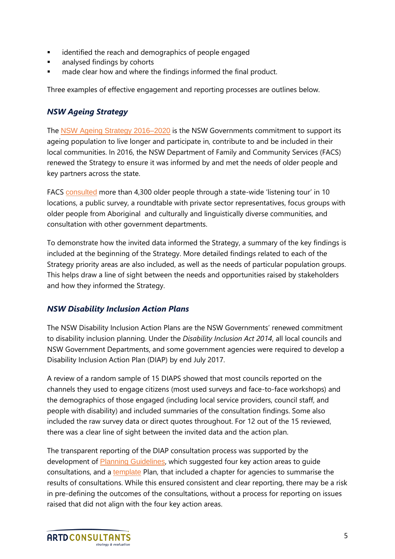- identified the reach and demographics of people engaged
- analysed findings by cohorts
- made clear how and where the findings informed the final product.

Three examples of effective engagement and reporting processes are outlines below.

#### *NSW Ageing Strategy*

The [NSW Ageing Strategy 2016–2020](https://www.facs.nsw.gov.au/download?file=382829) is the NSW Governments commitment to support its ageing population to live longer and participate in, contribute to and be included in their local communities. In 2016, the NSW Department of Family and Community Services (FACS) renewed the Strategy to ensure it was informed by and met the needs of older people and key partners across the state.

FACS [consulted](https://www.facs.nsw.gov.au/inclusion/ageing/research) more than 4,300 older people through a state-wide 'listening tour' in 10 locations, a public survey, a roundtable with private sector representatives, focus groups with older people from Aboriginal and culturally and linguistically diverse communities, and consultation with other government departments.

To demonstrate how the invited data informed the Strategy, a summary of the key findings is included at the beginning of the Strategy. More detailed findings related to each of the Strategy priority areas are also included, as well as the needs of particular population groups. This helps draw a line of sight between the needs and opportunities raised by stakeholders and how they informed the Strategy.

#### *NSW Disability Inclusion Action Plans*

The NSW Disability Inclusion Action Plans are the NSW Governments' renewed commitment to disability inclusion planning. Under the *Disability Inclusion Act 2014*, all local councils and NSW Government Departments, and some government agencies were required to develop a Disability Inclusion Action Plan (DIAP) by end July 2017.

A review of a random sample of 15 DIAPS showed that most councils reported on the channels they used to engage citizens (most used surveys and face-to-face workshops) and the demographics of those engaged (including local service providers, council staff, and people with disability) and included summaries of the consultation findings. Some also included the raw survey data or direct quotes throughout. For 12 out of the 15 reviewed, there was a clear line of sight between the invited data and the action plan.

The transparent reporting of the DIAP consultation process was supported by the development of [Planning Guidelines](https://www.facs.nsw.gov.au/__data/assets/file/0004/322366/NSW-DIAP-Guidelines.PDF), which suggested four key action areas to guide consultations, and a [template](https://www.lgnsw.org.au/files/imce-uploads/127/template-standalone-diap.pdf) Plan, that included a chapter for agencies to summarise the results of consultations. While this ensured consistent and clear reporting, there may be a risk in pre-defining the outcomes of the consultations, without a process for reporting on issues raised that did not align with the four key action areas.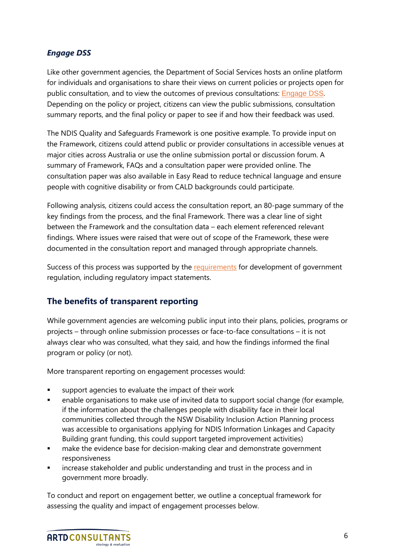#### *Engage DSS*

Like other government agencies, the Department of Social Services hosts an online platform for individuals and organisations to share their views on current policies or projects open for public consultation, and to view the outcomes of previous consultations: [Engage DSS](https://engage.dss.gov.au/). Depending on the policy or project, citizens can view the public submissions, consultation summary reports, and the final policy or paper to see if and how their feedback was used.

The NDIS Quality and Safeguards Framework is one positive example. To provide input on the Framework, citizens could attend public or provider consultations in accessible venues at major cities across Australia or use the online submission portal or discussion forum. A summary of Framework, FAQs and a consultation paper were provided online. The consultation paper was also available in Easy Read to reduce technical language and ensure people with cognitive disability or from CALD backgrounds could participate.

Following analysis, citizens could access the consultation report, an 80-page summary of the key findings from the process, and the final Framework. There was a clear line of sight between the Framework and the consultation data – each element referenced relevant findings. Where issues were raised that were out of scope of the Framework, these were documented in the consultation report and managed through appropriate channels.

Success of this process was supported by the [requirements](https://www.pmc.gov.au/resource-centre/regulation/best-practice-regulation-guide-ministerial-councils-and-national-standard-setting-bodies) for development of government regulation, including regulatory impact statements.

#### **The benefits of transparent reporting**

While government agencies are welcoming public input into their plans, policies, programs or projects – through online submission processes or face-to-face consultations – it is not always clear who was consulted, what they said, and how the findings informed the final program or policy (or not).

More transparent reporting on engagement processes would:

- support agencies to evaluate the impact of their work
- enable organisations to make use of invited data to support social change (for example, if the information about the challenges people with disability face in their local communities collected through the NSW Disability Inclusion Action Planning process was accessible to organisations applying for NDIS Information Linkages and Capacity Building grant funding, this could support targeted improvement activities)
- make the evidence base for decision-making clear and demonstrate government responsiveness
- **•** increase stakeholder and public understanding and trust in the process and in government more broadly.

To conduct and report on engagement better, we outline a conceptual framework for assessing the quality and impact of engagement processes below.

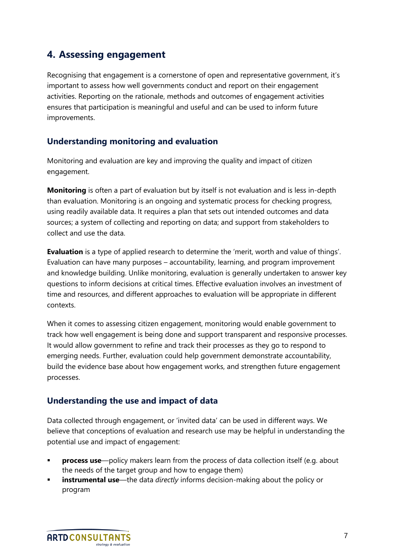### **4. Assessing engagement**

Recognising that engagement is a cornerstone of open and representative government, it's important to assess how well governments conduct and report on their engagement activities. Reporting on the rationale, methods and outcomes of engagement activities ensures that participation is meaningful and useful and can be used to inform future improvements.

#### **Understanding monitoring and evaluation**

Monitoring and evaluation are key and improving the quality and impact of citizen engagement.

**Monitoring** is often a part of evaluation but by itself is not evaluation and is less in-depth than evaluation. Monitoring is an ongoing and systematic process for checking progress, using readily available data. It requires a plan that sets out intended outcomes and data sources; a system of collecting and reporting on data; and support from stakeholders to collect and use the data.

**Evaluation** is a type of applied research to determine the 'merit, worth and value of things'. Evaluation can have many purposes – accountability, learning, and program improvement and knowledge building. Unlike monitoring, evaluation is generally undertaken to answer key questions to inform decisions at critical times. Effective evaluation involves an investment of time and resources, and different approaches to evaluation will be appropriate in different contexts.

When it comes to assessing citizen engagement, monitoring would enable government to track how well engagement is being done and support transparent and responsive processes. It would allow government to refine and track their processes as they go to respond to emerging needs. Further, evaluation could help government demonstrate accountability, build the evidence base about how engagement works, and strengthen future engagement processes.

#### **Understanding the use and impact of data**

Data collected through engagement, or 'invited data' can be used in different ways. We believe that conceptions of evaluation and research use may be helpful in understanding the potential use and impact of engagement:

- **process use**—policy makers learn from the process of data collection itself (e.g. about the needs of the target group and how to engage them)
- **instrumental use**—the data *directly* informs decision-making about the policy or program

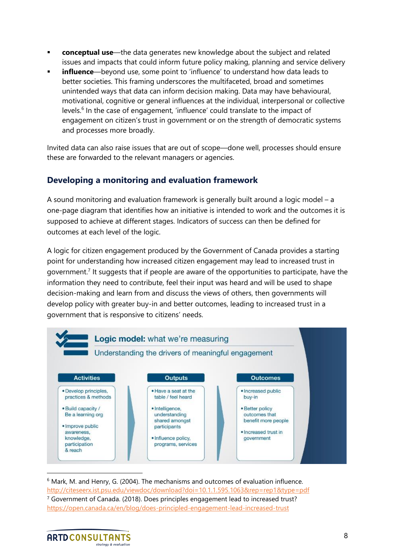- **conceptual use**—the data generates new knowledge about the subject and related issues and impacts that could inform future policy making, planning and service delivery
- **· influence**—beyond use, some point to 'influence' to understand how data leads to better societies. This framing underscores the multifaceted, broad and sometimes unintended ways that data can inform decision making. Data may have behavioural, motivational, cognitive or general influences at the individual, interpersonal or collective levels.<sup>6</sup> In the case of engagement, 'influence' could translate to the impact of engagement on citizen's trust in government or on the strength of democratic systems and processes more broadly.

Invited data can also raise issues that are out of scope—done well, processes should ensure these are forwarded to the relevant managers or agencies.

#### **Developing a monitoring and evaluation framework**

A sound monitoring and evaluation framework is generally built around a logic model – a one-page diagram that identifies how an initiative is intended to work and the outcomes it is supposed to achieve at different stages. Indicators of success can then be defined for outcomes at each level of the logic.

A logic for citizen engagement produced by the Government of Canada provides a starting point for understanding how increased citizen engagement may lead to increased trust in government.<sup>7</sup> It suggests that if people are aware of the opportunities to participate, have the information they need to contribute, feel their input was heard and will be used to shape decision-making and learn from and discuss the views of others, then governments will develop policy with greater buy-in and better outcomes, leading to increased trust in a government that is responsive to citizens' needs.



 $6$  Mark, M. and Henry, G. (2004). The mechanisms and outcomes of evaluation influence. <http://citeseerx.ist.psu.edu/viewdoc/download?doi=10.1.1.595.1063&rep=rep1&type=pdf> <sup>7</sup> Government of Canada. (2018). Does principles engagement lead to increased trust? <https://open.canada.ca/en/blog/does-principled-engagement-lead-increased-trust>

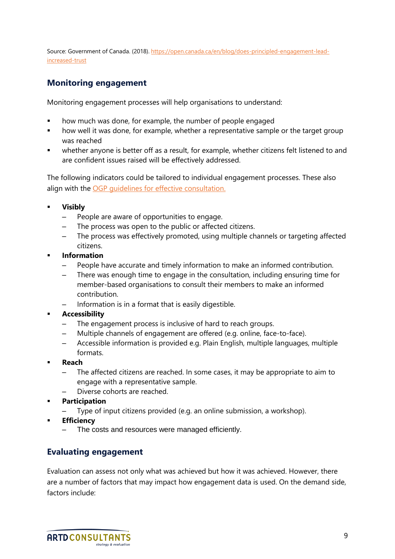Source: Government of Canada. (2018). [https://open.canada.ca/en/blog/does-principled-engagement-lead](https://open.canada.ca/en/blog/does-principled-engagement-lead-increased-trust)[increased-trust](https://open.canada.ca/en/blog/does-principled-engagement-lead-increased-trust)

#### **Monitoring engagement**

Monitoring engagement processes will help organisations to understand:

- how much was done, for example, the number of people engaged
- how well it was done, for example, whether a representative sample or the target group was reached
- whether anyone is better off as a result, for example, whether citizens felt listened to and are confident issues raised will be effectively addressed.

The following indicators could be tailored to individual engagement processes. These also align with the OGP quidelines for effective consultation.

- **Visibly** 
	- People are aware of opportunities to engage.
	- The process was open to the public or affected citizens.
	- The process was effectively promoted, using multiple channels or targeting affected citizens.
- **Information** 
	- People have accurate and timely information to make an informed contribution.
	- There was enough time to engage in the consultation, including ensuring time for member-based organisations to consult their members to make an informed contribution.
	- Information is in a format that is easily digestible.
- **Accessibility** 
	- The engagement process is inclusive of hard to reach groups.
	- Multiple channels of engagement are offered (e.g. online, face-to-face).
	- Accessible information is provided e.g. Plain English, multiple languages, multiple formats.
- **Reach**
	- The affected citizens are reached. In some cases, it may be appropriate to aim to engage with a representative sample.
	- Diverse cohorts are reached.
- **Participation**
	- Type of input citizens provided (e.g. an online submission, a workshop).
- **Efficiency**
	- The costs and resources were managed efficiently.

#### **Evaluating engagement**

Evaluation can assess not only what was achieved but how it was achieved. However, there are a number of factors that may impact how engagement data is used. On the demand side, factors include:

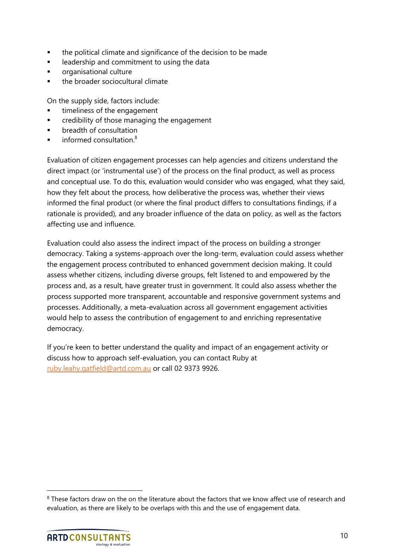- the political climate and significance of the decision to be made
- leadership and commitment to using the data
- organisational culture
- the broader sociocultural climate

On the supply side, factors include:

- timeliness of the engagement
- credibility of those managing the engagement
- **■** breadth of consultation
- informed consultation. $8$

Evaluation of citizen engagement processes can help agencies and citizens understand the direct impact (or 'instrumental use') of the process on the final product, as well as process and conceptual use. To do this, evaluation would consider who was engaged, what they said, how they felt about the process, how deliberative the process was, whether their views informed the final product (or where the final product differs to consultations findings, if a rationale is provided), and any broader influence of the data on policy, as well as the factors affecting use and influence.

Evaluation could also assess the indirect impact of the process on building a stronger democracy. Taking a systems-approach over the long-term, evaluation could assess whether the engagement process contributed to enhanced government decision making. It could assess whether citizens, including diverse groups, felt listened to and empowered by the process and, as a result, have greater trust in government. It could also assess whether the process supported more transparent, accountable and responsive government systems and processes. Additionally, a meta-evaluation across all government engagement activities would help to assess the contribution of engagement to and enriching representative democracy.

If you're keen to better understand the quality and impact of an engagement activity or discuss how to approach self-evaluation, you can contact Ruby at [ruby.leahy.gatfield@artd.com.au](mailto:ruby.leahy.gatfield@artd.com.au) or call 02 9373 9926.

<sup>&</sup>lt;sup>8</sup> These factors draw on the on the literature about the factors that we know affect use of research and evaluation, as there are likely to be overlaps with this and the use of engagement data.